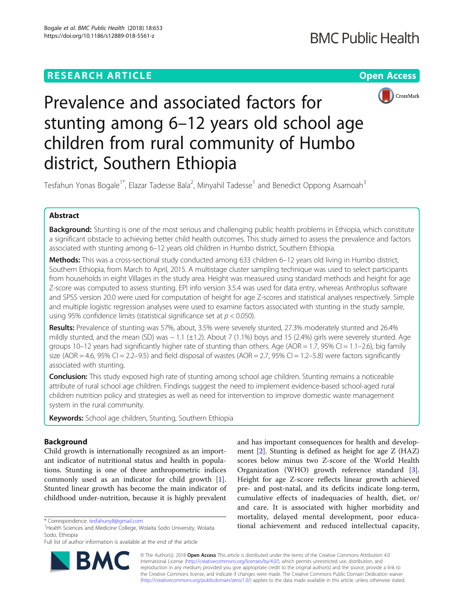# **RESEARCH ARTICLE Example 2018 12:30 THE Open Access**



# Prevalence and associated factors for stunting among 6–12 years old school age children from rural community of Humbo district, Southern Ethiopia

Tesfahun Yonas Bogale<sup>1\*</sup>, Elazar Tadesse Bala<sup>2</sup>, Minyahil Tadesse<sup>1</sup> and Benedict Oppong Asamoah<sup>3</sup>

# Abstract

Background: Stunting is one of the most serious and challenging public health problems in Ethiopia, which constitute a significant obstacle to achieving better child health outcomes. This study aimed to assess the prevalence and factors associated with stunting among 6–12 years old children in Humbo district, Southern Ethiopia.

Methods: This was a cross-sectional study conducted among 633 children 6-12 years old living in Humbo district, Southern Ethiopia, from March to April, 2015. A multistage cluster sampling technique was used to select participants from households in eight Villages in the study area. Height was measured using standard methods and height for age Z-score was computed to assess stunting. EPI info version 3.5.4 was used for data entry, whereas Anthroplus software and SPSS version 20.0 were used for computation of height for age Z-scores and statistical analyses respectively. Simple and multiple logistic regression analyses were used to examine factors associated with stunting in the study sample, using 95% confidence limits (statistical significance set at  $p < 0.050$ ).

Results: Prevalence of stunting was 57%, about, 3.5% were severely stunted, 27.3% moderately stunted and 26.4% mildly stunted, and the mean (SD) was − 1.1 (±1.2). About 7 (1.1%) boys and 15 (2.4%) girls were severely stunted. Age groups  $10-12$  years had significantly higher rate of stunting than others. Age (AOR = 1.7, 95% CI = 1.1–2.6), big family size (AOR = 4.6, 95% CI = 2.2–9.5) and field disposal of wastes (AOR = 2.7, 95% CI = 1.2–5.8) were factors significantly associated with stunting.

**Conclusion:** This study exposed high rate of stunting among school age children. Stunting remains a noticeable attribute of rural school age children. Findings suggest the need to implement evidence-based school-aged rural children nutrition policy and strategies as well as need for intervention to improve domestic waste management system in the rural community.

Keywords: School age children, Stunting, Southern Ethiopia

# Background

Child growth is internationally recognized as an important indicator of nutritional status and health in populations. Stunting is one of three anthropometric indices commonly used as an indicator for child growth [\[1](#page-6-0)]. Stunted linear growth has become the main indicator of childhood under-nutrition, because it is highly prevalent

Full list of author information is available at the end of the article



and has important consequences for health and development [[2\]](#page-6-0). Stunting is defined as height for age Z (HAZ) scores below minus two Z-score of the World Health Organization (WHO) growth reference standard [\[3](#page-6-0)]. Height for age Z-score reflects linear growth achieved pre- and post-natal, and its deficits indicate long-term, cumulative effects of inadequacies of health, diet, or/ and care. It is associated with higher morbidity and mortality, delayed mental development, poor educational actional actions and Medicine College. Wolaita Sodo University, Wolaita **1986**<br><sup>1</sup>Health Sciences and Medicine College. Wolaita Sodo University. Wolaita **1998 tional achievement and reduced intellectual capacity,** 

> © The Author(s). 2018 Open Access This article is distributed under the terms of the Creative Commons Attribution 4.0 International License [\(http://creativecommons.org/licenses/by/4.0/](http://creativecommons.org/licenses/by/4.0/)), which permits unrestricted use, distribution, and reproduction in any medium, provided you give appropriate credit to the original author(s) and the source, provide a link to the Creative Commons license, and indicate if changes were made. The Creative Commons Public Domain Dedication waiver [\(http://creativecommons.org/publicdomain/zero/1.0/](http://creativecommons.org/publicdomain/zero/1.0/)) applies to the data made available in this article, unless otherwise stated.

<sup>&</sup>lt;sup>1</sup>Health Sciences and Medicine College, Wolaita Sodo University, Wolaita Sodo, Ethiopia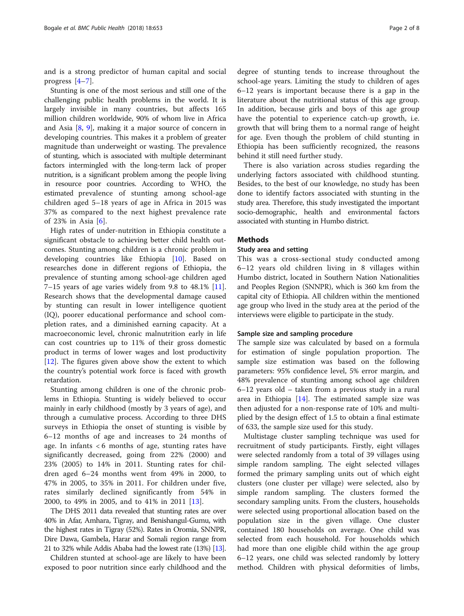and is a strong predictor of human capital and social progress [[4](#page-6-0)–[7\]](#page-6-0).

Stunting is one of the most serious and still one of the challenging public health problems in the world. It is largely invisible in many countries, but affects 165 million children worldwide, 90% of whom live in Africa and Asia [\[8](#page-6-0), [9\]](#page-6-0), making it a major source of concern in developing countries. This makes it a problem of greater magnitude than underweight or wasting. The prevalence of stunting, which is associated with multiple determinant factors intermingled with the long-term lack of proper nutrition, is a significant problem among the people living in resource poor countries. According to WHO, the estimated prevalence of stunting among school-age children aged 5–18 years of age in Africa in 2015 was 37% as compared to the next highest prevalence rate of 23% in Asia [[6](#page-6-0)].

High rates of under-nutrition in Ethiopia constitute a significant obstacle to achieving better child health outcomes. Stunting among children is a chronic problem in developing countries like Ethiopia [\[10\]](#page-6-0). Based on researches done in different regions of Ethiopia, the prevalence of stunting among school-age children aged  $7-15$  years of age varies widely from 9.8 to 48.1% [\[11](#page-6-0)]. Research shows that the developmental damage caused by stunting can result in lower intelligence quotient (IQ), poorer educational performance and school completion rates, and a diminished earning capacity. At a macroeconomic level, chronic malnutrition early in life can cost countries up to 11% of their gross domestic product in terms of lower wages and lost productivity [[12\]](#page-6-0). The figures given above show the extent to which the country's potential work force is faced with growth retardation.

Stunting among children is one of the chronic problems in Ethiopia. Stunting is widely believed to occur mainly in early childhood (mostly by 3 years of age), and through a cumulative process. According to three DHS surveys in Ethiopia the onset of stunting is visible by 6–12 months of age and increases to 24 months of age. In infants < 6 months of age, stunting rates have significantly decreased, going from 22% (2000) and 23% (2005) to 14% in 2011. Stunting rates for children aged 6–24 months went from 49% in 2000, to 47% in 2005, to 35% in 2011. For children under five, rates similarly declined significantly from 54% in 2000, to 49% in 2005, and to 41% in 2011 [[13](#page-7-0)].

The DHS 2011 data revealed that stunting rates are over 40% in Afar, Amhara, Tigray, and Benishangul-Gumu, with the highest rates in Tigray (52%). Rates in Oromia, SNNPR, Dire Dawa, Gambela, Harar and Somali region range from 21 to 32% while Addis Ababa had the lowest rate (13%) [\[13](#page-7-0)].

Children stunted at school-age are likely to have been exposed to poor nutrition since early childhood and the

degree of stunting tends to increase throughout the school-age years. Limiting the study to children of ages 6–12 years is important because there is a gap in the literature about the nutritional status of this age group. In addition, because girls and boys of this age group have the potential to experience catch-up growth, i.e. growth that will bring them to a normal range of height for age. Even though the problem of child stunting in Ethiopia has been sufficiently recognized, the reasons behind it still need further study.

There is also variation across studies regarding the underlying factors associated with childhood stunting. Besides, to the best of our knowledge, no study has been done to identify factors associated with stunting in the study area. Therefore, this study investigated the important socio-demographic, health and environmental factors associated with stunting in Humbo district.

## Methods

#### Study area and setting

This was a cross-sectional study conducted among 6–12 years old children living in 8 villages within Humbo district, located in Southern Nation Nationalities and Peoples Region (SNNPR), which is 360 km from the capital city of Ethiopia. All children within the mentioned age group who lived in the study area at the period of the interviews were eligible to participate in the study.

#### Sample size and sampling procedure

The sample size was calculated by based on a formula for estimation of single population proportion. The sample size estimation was based on the following parameters: 95% confidence level, 5% error margin, and 48% prevalence of stunting among school age children 6–12 years old – taken from a previous study in a rural area in Ethiopia [[14](#page-7-0)]. The estimated sample size was then adjusted for a non-response rate of 10% and multiplied by the design effect of 1.5 to obtain a final estimate of 633, the sample size used for this study.

Multistage cluster sampling technique was used for recruitment of study participants. Firstly, eight villages were selected randomly from a total of 39 villages using simple random sampling. The eight selected villages formed the primary sampling units out of which eight clusters (one cluster per village) were selected, also by simple random sampling. The clusters formed the secondary sampling units. From the clusters, households were selected using proportional allocation based on the population size in the given village. One cluster contained 180 households on average. One child was selected from each household. For households which had more than one eligible child within the age group 6–12 years, one child was selected randomly by lottery method. Children with physical deformities of limbs,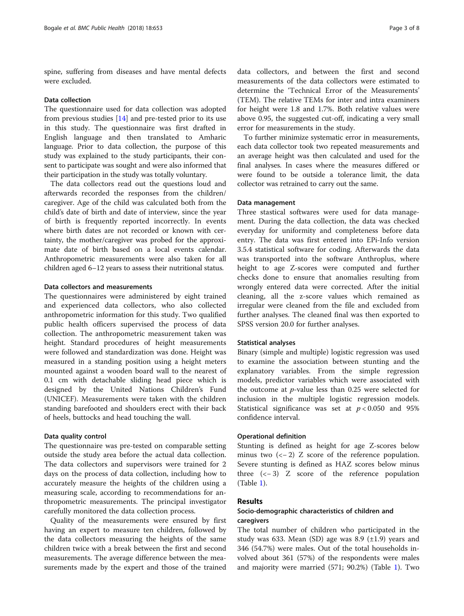spine, suffering from diseases and have mental defects were excluded.

#### Data collection

The questionnaire used for data collection was adopted from previous studies [[14\]](#page-7-0) and pre-tested prior to its use in this study. The questionnaire was first drafted in English language and then translated to Amharic language. Prior to data collection, the purpose of this study was explained to the study participants, their consent to participate was sought and were also informed that their participation in the study was totally voluntary.

The data collectors read out the questions loud and afterwards recorded the responses from the children/ caregiver. Age of the child was calculated both from the child's date of birth and date of interview, since the year of birth is frequently reported incorrectly. In events where birth dates are not recorded or known with certainty, the mother/caregiver was probed for the approximate date of birth based on a local events calendar. Anthropometric measurements were also taken for all children aged 6–12 years to assess their nutritional status.

# Data collectors and measurements

The questionnaires were administered by eight trained and experienced data collectors, who also collected anthropometric information for this study. Two qualified public health officers supervised the process of data collection. The anthropometric measurement taken was height. Standard procedures of height measurements were followed and standardization was done. Height was measured in a standing position using a height meters mounted against a wooden board wall to the nearest of 0.1 cm with detachable sliding head piece which is designed by the United Nations Children's Fund (UNICEF). Measurements were taken with the children standing barefooted and shoulders erect with their back of heels, buttocks and head touching the wall.

### Data quality control

The questionnaire was pre-tested on comparable setting outside the study area before the actual data collection. The data collectors and supervisors were trained for 2 days on the process of data collection, including how to accurately measure the heights of the children using a measuring scale, according to recommendations for anthropometric measurements. The principal investigator carefully monitored the data collection process.

Quality of the measurements were ensured by first having an expert to measure ten children, followed by the data collectors measuring the heights of the same children twice with a break between the first and second measurements. The average difference between the measurements made by the expert and those of the trained data collectors, and between the first and second measurements of the data collectors were estimated to determine the 'Technical Error of the Measurements' (TEM). The relative TEMs for inter and intra examiners for height were 1.8 and 1.7%. Both relative values were above 0.95, the suggested cut-off, indicating a very small error for measurements in the study.

To further minimize systematic error in measurements, each data collector took two repeated measurements and an average height was then calculated and used for the final analyses. In cases where the measures differed or were found to be outside a tolerance limit, the data collector was retrained to carry out the same.

#### Data management

Three stastical softwares were used for data management. During the data collection, the data was checked everyday for uniformity and completeness before data entry. The data was first entered into EPi-Info version 3.5.4 statistical software for coding. Afterwards the data was transported into the software Anthroplus, where height to age Z-scores were computed and further checks done to ensure that anomalies resulting from wrongly entered data were corrected. After the initial cleaning, all the z-score values which remained as irregular were cleaned from the file and excluded from further analyses. The cleaned final was then exported to SPSS version 20.0 for further analyses.

# Statistical analyses

Binary (simple and multiple) logistic regression was used to examine the association between stunting and the explanatory variables. From the simple regression models, predictor variables which were associated with the outcome at p-value less than 0.25 were selected for inclusion in the multiple logistic regression models. Statistical significance was set at  $p < 0.050$  and 95% confidence interval.

# Operational definition

Stunting is defined as height for age Z-scores below minus two  $\left(\left\langle -2\right\rangle Z\right)$  score of the reference population. Severe stunting is defined as HAZ scores below minus three (<− 3) Z score of the reference population (Table [1\)](#page-3-0).

# Results

# Socio-demographic characteristics of children and caregivers

The total number of children who participated in the study was 633. Mean (SD) age was 8.9  $(\pm 1.9)$  years and 346 (54.7%) were males. Out of the total households involved about 361 (57%) of the respondents were males and majority were married (571; 90.2%) (Table [1\)](#page-3-0). Two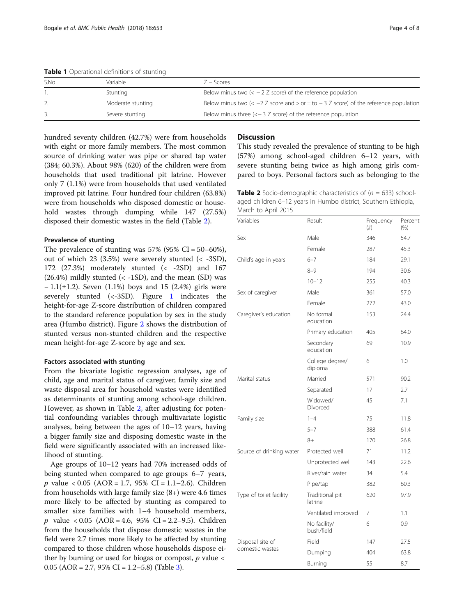| S.No | Variable          | $7 -$ Scores                                                                                            |
|------|-------------------|---------------------------------------------------------------------------------------------------------|
|      |                   |                                                                                                         |
|      | Stunting          | Below minus two $(< -2 Z$ score) of the reference population                                            |
|      | Moderate stunting | Below minus two $\left( < -2 \right)$ z score and $>$ or = to $-3$ z score) of the reference population |
|      | Severe stunting   | Below minus three $(< -3 Z$ score) of the reference population                                          |

<span id="page-3-0"></span>Table 1 Operational definitions of stunting

hundred seventy children (42.7%) were from households with eight or more family members. The most common source of drinking water was pipe or shared tap water (384; 60.3%). About 98% (620) of the children were from households that used traditional pit latrine. However only 7 (1.1%) were from households that used ventilated improved pit latrine. Four hundred four children (63.8%) were from households who disposed domestic or household wastes through dumping while 147 (27.5%) disposed their domestic wastes in the field (Table 2).

## Prevalence of stunting

The prevalence of stunting was  $57\%$  (95% CI =  $50-60\%$ ), out of which 23 (3.5%) were severely stunted (< -3SD), 172 (27.3%) moderately stunted (< -2SD) and 167  $(26.4%)$  mildly stunted  $(< -1SD)$ , and the mean  $(SD)$  was  $-1.1(\pm 1.2)$ . Seven (1.1%) boys and 15 (2.4%) girls were severely stunted (<-3SD). Figure [1](#page-4-0) indicates the height-for-age Z-score distribution of children compared to the standard reference population by sex in the study area (Humbo district). Figure [2](#page-4-0) shows the distribution of stunted versus non-stunted children and the respective mean height-for-age Z-score by age and sex.

# Factors associated with stunting

From the bivariate logistic regression analyses, age of child, age and marital status of caregiver, family size and waste disposal area for household wastes were identified as determinants of stunting among school-age children. However, as shown in Table 2, after adjusting for potential confounding variables through multivariate logistic analyses, being between the ages of 10–12 years, having a bigger family size and disposing domestic waste in the field were significantly associated with an increased likelihood of stunting.

Age groups of 10–12 years had 70% increased odds of being stunted when compared to age groups 6–7 years, p value < 0.05 (AOR = 1.7, 95% CI = 1.1–2.6). Children from households with large family size (8+) were 4.6 times more likely to be affected by stunting as compared to smaller size families with 1–4 household members,  $p$  value < 0.05 (AOR = 4.6, 95% CI = 2.2–9.5). Children from the households that dispose domestic wastes in the field were 2.7 times more likely to be affected by stunting compared to those children whose households dispose either by burning or used for biogas or compost,  $p$  value  $\lt$ 0.05 (AOR = 2.7, 95% CI = 1.2–5.8) (Table [3\)](#page-5-0).

# **Discussion**

This study revealed the prevalence of stunting to be high (57%) among school-aged children 6–12 years, with severe stunting being twice as high among girls compared to boys. Personal factors such as belonging to the

**Table 2** Socio-demographic characteristics of  $(n = 633)$  schoolaged children 6–12 years in Humbo district, Southern Ethiopia, March to April 2015

| Variables                | Result                     | Frequency<br>(# ) | Percent<br>(% ) |
|--------------------------|----------------------------|-------------------|-----------------|
| Sex                      | Male                       | 346               | 54.7            |
|                          | Female                     | 287               | 45.3            |
| Child's age in years     | $6 - 7$                    | 184               | 29.1            |
|                          | $8 - 9$                    | 194               | 30.6            |
|                          | $10 - 12$                  | 255               | 40.3            |
| Sex of caregiver         | Male                       | 361               | 57.0            |
|                          | Female                     | 272               | 43.0            |
| Caregiver's education    | No formal<br>education     | 153               | 24.4            |
|                          | Primary education          | 405               | 64.0            |
|                          | Secondary<br>education     | 69                | 10.9            |
|                          | College degree/<br>diploma | 6                 | 1.0             |
| Marital status           | Married                    | 571               | 90.2            |
|                          | Separated                  | 17                | 2.7             |
|                          | Widowed/<br>Divorced       | 45                | 7.1             |
| Family size              | $1 - 4$                    | 75                | 11.8            |
|                          | $5 - 7$                    | 388               | 61.4            |
|                          | $8+$                       | 170               | 26.8            |
| Source of drinking water | Protected well             | 71                | 11.2            |
|                          | Unprotected well           | 143               | 22.6            |
|                          | River/rain water           | 34                | 5.4             |
|                          | Pipe/tap                   | 382               | 60.3            |
| Type of toilet facility  | Traditional pit<br>latrine | 620               | 97.9            |
|                          | Ventilated improved        | 7                 | 1.1             |
|                          | No facility/<br>bush/field | 6                 | 0.9             |
| Disposal site of         | Field                      | 147               | 27.5            |
| domestic wastes          | Dumping                    | 404               | 63.8            |
|                          | Burning                    | 55                | 8.7             |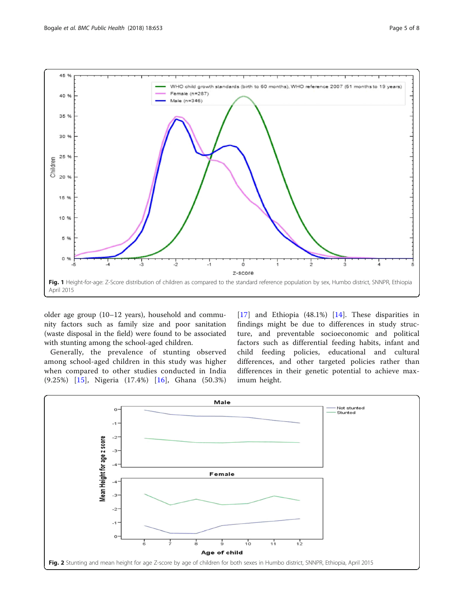<span id="page-4-0"></span>

older age group (10–12 years), household and community factors such as family size and poor sanitation (waste disposal in the field) were found to be associated with stunting among the school-aged children.

Generally, the prevalence of stunting observed among school-aged children in this study was higher when compared to other studies conducted in India (9.25%) [[15\]](#page-7-0), Nigeria (17.4%) [[16\]](#page-7-0), Ghana (50.3%) [[17](#page-7-0)] and Ethiopia (48.1%) [[14\]](#page-7-0). These disparities in findings might be due to differences in study structure, and preventable socioeconomic and political factors such as differential feeding habits, infant and child feeding policies, educational and cultural differences, and other targeted policies rather than differences in their genetic potential to achieve maximum height.

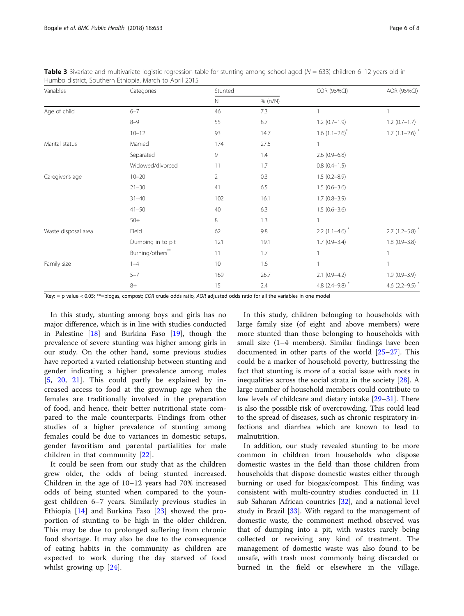| Variables           | Categories        | Stunted        |         | COR (95%CI)                  | AOR (95%CI)                  |
|---------------------|-------------------|----------------|---------|------------------------------|------------------------------|
|                     |                   | $\mathsf{N}$   | % (n/N) |                              |                              |
| Age of child        | $6 - 7$           | 46             | 7.3     |                              |                              |
|                     | $8 - 9$           | 55             | 8.7     | $1.2(0.7-1.9)$               | $1.2(0.7-1.7)$               |
|                     | $10 - 12$         | 93             | 14.7    | $1.6(1.1-2.6)^{*}$           | $1.7(1.1-2.6)$ <sup>*</sup>  |
| Marital status      | Married           | 174            | 27.5    |                              |                              |
|                     | Separated         | 9              | 1.4     | $2.6(0.9-6.8)$               |                              |
|                     | Widowed/divorced  | 11             | 1.7     | $0.8(0.4-1.5)$               |                              |
| Caregiver's age     | $10 - 20$         | $\overline{2}$ | 0.3     | $1.5(0.2 - 8.9)$             |                              |
|                     | $21 - 30$         | 41             | 6.5     | $1.5(0.6-3.6)$               |                              |
|                     | $31 - 40$         | 102            | 16.1    | $1.7(0.8-3.9)$               |                              |
|                     | $41 - 50$         | 40             | 6.3     | $1.5(0.6-3.6)$               |                              |
|                     | $50+$             | 8              | 1.3     | $\mathbf{1}$                 |                              |
| Waste disposal area | Field             | 62             | 9.8     | $2.2$ (1.1-4.6) <sup>*</sup> | $2.7$ (1.2-5.8) <sup>*</sup> |
|                     | Dumping in to pit | 121            | 19.1    | $1.7(0.9 - 3.4)$             | $1.8(0.9 - 3.8)$             |
|                     | Burning/others**  | 11             | 1.7     | $\overline{1}$               | $\overline{1}$               |
| Family size         | $1 - 4$           | 10             | 1.6     | $\overline{1}$               |                              |
|                     | $5 - 7$           | 169            | 26.7    | $2.1(0.9-4.2)$               | $1.9(0.9 - 3.9)$             |
|                     | $8+$              | 15             | 2.4     | 4.8 $(2.4 - 9.8)^*$          | 4.6 $(2.2 - 9.5)^*$          |

<span id="page-5-0"></span>**Table 3** Bivariate and multivariate logistic regression table for stunting among school aged ( $N = 633$ ) children 6–12 years old in Humbo district, Southern Ethiopia, March to April 2015

\* Key: = p value < 0.05; \*\*=biogas, compost; COR crude odds ratio, AOR adjusted odds ratio for all the variables in one model

In this study, stunting among boys and girls has no major difference, which is in line with studies conducted in Palestine [\[18\]](#page-7-0) and Burkina Faso [[19](#page-7-0)], though the prevalence of severe stunting was higher among girls in our study. On the other hand, some previous studies have reported a varied relationship between stunting and gender indicating a higher prevalence among males [[5,](#page-6-0) [20,](#page-7-0) [21\]](#page-7-0). This could partly be explained by increased access to food at the grownup age when the females are traditionally involved in the preparation of food, and hence, their better nutritional state compared to the male counterparts. Findings from other studies of a higher prevalence of stunting among females could be due to variances in domestic setups, gender favoritism and parental partialities for male children in that community [[22](#page-7-0)].

It could be seen from our study that as the children grew older, the odds of being stunted increased. Children in the age of 10–12 years had 70% increased odds of being stunted when compared to the youngest children 6–7 years. Similarly previous studies in Ethiopia [\[14](#page-7-0)] and Burkina Faso [[23](#page-7-0)] showed the proportion of stunting to be high in the older children. This may be due to prolonged suffering from chronic food shortage. It may also be due to the consequence of eating habits in the community as children are expected to work during the day starved of food whilst growing up [[24\]](#page-7-0).

In this study, children belonging to households with large family size (of eight and above members) were more stunted than those belonging to households with small size (1–4 members). Similar findings have been documented in other parts of the world [[25](#page-7-0)–[27\]](#page-7-0). This could be a marker of household poverty, buttressing the fact that stunting is more of a social issue with roots in inequalities across the social strata in the society [\[28\]](#page-7-0). A large number of household members could contribute to low levels of childcare and dietary intake [\[29](#page-7-0)–[31\]](#page-7-0). There is also the possible risk of overcrowding. This could lead to the spread of diseases, such as chronic respiratory infections and diarrhea which are known to lead to malnutrition.

In addition, our study revealed stunting to be more common in children from households who dispose domestic wastes in the field than those children from households that dispose domestic wastes either through burning or used for biogas/compost. This finding was consistent with multi-country studies conducted in 11 sub Saharan African countries [[32](#page-7-0)], and a national level study in Brazil [\[33](#page-7-0)]. With regard to the management of domestic waste, the commonest method observed was that of dumping into a pit, with wastes rarely being collected or receiving any kind of treatment. The management of domestic waste was also found to be unsafe, with trash most commonly being discarded or burned in the field or elsewhere in the village.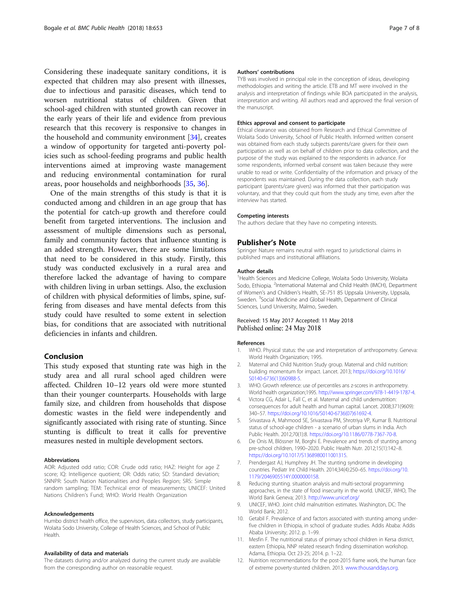<span id="page-6-0"></span>Considering these inadequate sanitary conditions, it is expected that children may also present with illnesses, due to infectious and parasitic diseases, which tend to worsen nutritional status of children. Given that school-aged children with stunted growth can recover in the early years of their life and evidence from previous research that this recovery is responsive to changes in the household and community environment [\[34\]](#page-7-0), creates a window of opportunity for targeted anti-poverty policies such as school-feeding programs and public health interventions aimed at improving waste management and reducing environmental contamination for rural areas, poor households and neighborhoods [[35](#page-7-0), [36](#page-7-0)].

One of the main strengths of this study is that it is conducted among and children in an age group that has the potential for catch-up growth and therefore could benefit from targeted interventions. The inclusion and assessment of multiple dimensions such as personal, family and community factors that influence stunting is an added strength. However, there are some limitations that need to be considered in this study. Firstly, this study was conducted exclusively in a rural area and therefore lacked the advantage of having to compare with children living in urban settings. Also, the exclusion of children with physical deformities of limbs, spine, suffering from diseases and have mental defects from this study could have resulted to some extent in selection bias, for conditions that are associated with nutritional deficiencies in infants and children.

# Conclusion

This study exposed that stunting rate was high in the study area and all rural school aged children were affected. Children 10–12 years old were more stunted than their younger counterparts. Households with large family size, and children from households that dispose domestic wastes in the field were independently and significantly associated with rising rate of stunting. Since stunting is difficult to treat it calls for preventive measures nested in multiple development sectors.

#### Abbreviations

AOR: Adjusted odd ratio; COR: Crude odd ratio; HAZ: Height for age Z score; IQ: Intelligence quotient; OR: Odds ratio; SD: Standard deviation; SNNPR: South Nation Nationalities and Peoples Region; SRS: Simple random sampling; TEM: Technical error of measurements; UNICEF: United Nations Children's Fund; WHO: World Health Organization

#### Acknowledgements

Humbo district health office, the supervisors, data collectors, study participants, Wolaita Sodo University, College of Health Sciences, and School of Public Health.

#### Availability of data and materials

The datasets during and/or analyzed during the current study are available from the corresponding author on reasonable request.

#### Authors' contributions

TYB was involved in principal role in the conception of ideas, developing methodologies and writing the article. ETB and MT were involved in the analysis and interpretation of findings while BOA participated in the analysis, interpretation and writing. All authors read and approved the final version of the manuscript.

#### Ethics approval and consent to participate

Ethical clearance was obtained from Research and Ethical Committee of Wolaita Sodo University, School of Public Health. Informed written consent was obtained from each study subjects parents/care givers for their own participation as well as on behalf of children prior to data collection, and the purpose of the study was explained to the respondents in advance. For some respondents, informed verbal consent was taken because they were unable to read or write. Confidentiality of the information and privacy of the respondents was maintained. During the data collection, each study participant (parents/care givers) was informed that their participation was voluntary, and that they could quit from the study any time, even after the interview has started.

#### Competing interests

The authors declare that they have no competing interests.

#### Publisher's Note

Springer Nature remains neutral with regard to jurisdictional claims in published maps and institutional affiliations.

#### Author details

<sup>1</sup> Health Sciences and Medicine College, Wolaita Sodo University, Wolaita Sodo, Ethiopia. <sup>2</sup>International Maternal and Child Health (IMCH), Department of Women's and Children's Health, SE-751 85 Uppsala University, Uppsala, Sweden. <sup>3</sup>Social Medicine and Global Health, Department of Clinical Sciences, Lund University, Malmo, Sweden.

# Received: 15 May 2017 Accepted: 11 May 2018 Published online: 24 May 2018

#### References

- 1. WHO. Physical status: the use and interpretation of anthropometry. Geneva: World Health Organization; 1995.
- 2. Maternal and Child Nutrition Study group. Maternal and child nutrition: building momentum for impact. Lancet. 2013; [https://doi.org/10.1016/](https://doi.org/10.1016/S0140-6736(13)60988-5) [S0140-6736\(13\)60988-5](https://doi.org/10.1016/S0140-6736(13)60988-5).
- 3. WHO. Growth reference: use of percentiles ans z-scores in anthropometry. World health organization;1995. <http://www.springer.com/978-1-4419-1787-4>.
- 4. Victora CG, Adair L, Fall C, et al. Maternal and child undernutrition: consequences for adult health and human capital. Lancet. 2008;371(9609): 340–57. [https://doi.org/10.1016/S0140-6736\(07\)61692-4.](https://doi.org/10.1016/S0140-6736(07)61692-4)
- 5. Srivastava A, Mahmood SE, Srivastava PM, Shrotriya VP, Kumar B. Nutritional status of school-age children - a scenario of urban slums in India. Arch Public Health. 2012;70(1):8. [https://doi.org/10.1186/0778-7367-70-8.](https://doi.org/10.1186/0778-7367-70-8)
- 6. De Onis M, Blössner M, Borghi E. Prevalence and trends of stunting among pre-school children, 1990–2020. Public Health Nutr. 2012;15(1):142–8. [https://doi.org/10.1017/S1368980011001315.](https://doi.org/10.1017/S1368980011001315)
- 7. Prendergast AJ, Humphrey JH. The stunting syndrome in developing countries. Pediatr Int Child Health. 2014;34(4):250–65. [https://doi.org/10.](https://doi.org/10.1179/2046905514Y.0000000158) [1179/2046905514Y.0000000158.](https://doi.org/10.1179/2046905514Y.0000000158)
- 8. Reducing stunting. situation analysis and multi-sectoral programming approaches, in the state of food insecurity in the world. UNICEF, WHO, The World Bank Geneva; 2013. <http://www.unicef.org/>
- 9. UNICEF, WHO. Joint child malnutrition estimates. Washington, DC: The World Bank; 2012.
- 10. Getabil F. Prevalence of and factors associated with stunting among underfive children in Ethiopia, in school of graduate studies. Addis Ababa: Addis Ababa University; 2012. p. 1–99.
- 11. Mesfin F. The nutritional status of primary school children in Kersa district, eastern Ethiopia, NNP related research finding dissemination workshop. Adama, Ethiopia. Oct 23-25; 2014. p. 1–22.
- 12. Nutrition recommendations for the post-2015 frame work, the human face of extreme poverty-stunted children. 2013. [www.thousanddays.org.](http://www.thousanddays.org)